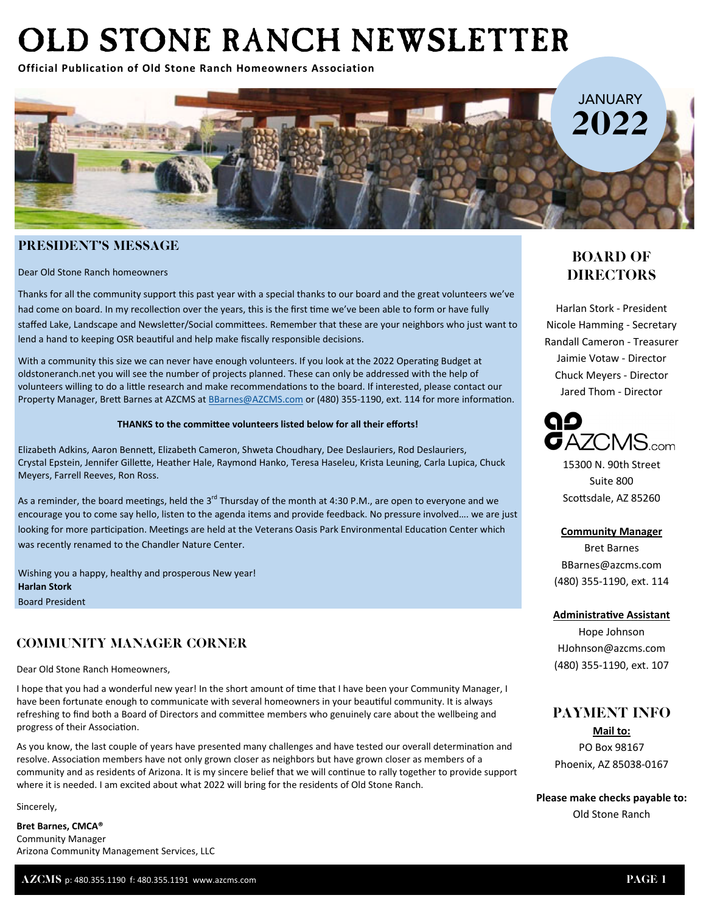# OLD STONE RANCH NEWSLETTER

**Official Publication of Old Stone Ranch Homeowners Association**



### PRESIDENT'S MESSAGE

Dear Old Stone Ranch homeowners

Thanks for all the community support this past year with a special thanks to our board and the great volunteers we've had come on board. In my recollection over the years, this is the first time we've been able to form or have fully staffed Lake, Landscape and Newsletter/Social committees. Remember that these are your neighbors who just want to lend a hand to keeping OSR beautiful and help make fiscally responsible decisions.

With a community this size we can never have enough volunteers. If you look at the 2022 Operating Budget at oldstoneranch.net you will see the number of projects planned. These can only be addressed with the help of volunteers willing to do a little research and make recommendations to the board. If interested, please contact our Property Manager, Brett Barnes at AZCMS at BBarnes@AZCMS.com or (480) 355-1190, ext. 114 for more information.

### **THANKS to the commiƩee volunteers listed below for all their efforts!**

Elizabeth Adkins, Aaron BenneƩ, Elizabeth Cameron, Shweta Choudhary, Dee Deslauriers, Rod Deslauriers, Crystal Epstein, Jennifer Gillette, Heather Hale, Raymond Hanko, Teresa Haseleu, Krista Leuning, Carla Lupica, Chuck Meyers, Farrell Reeves, Ron Ross.

As a reminder, the board meetings, held the 3<sup>rd</sup> Thursday of the month at 4:30 P.M., are open to everyone and we encourage you to come say hello, listen to the agenda items and provide feedback. No pressure involved…. we are just looking for more participation. Meetings are held at the Veterans Oasis Park Environmental Education Center which was recently renamed to the Chandler Nature Center.

Wishing you a happy, healthy and prosperous New year! **Harlan Stork** Board President

# COMMUNITY MANAGER CORNER

Dear Old Stone Ranch Homeowners,

I hope that you had a wonderful new year! In the short amount of time that I have been your Community Manager, I have been fortunate enough to communicate with several homeowners in your beautiful community. It is always refreshing to find both a Board of Directors and committee members who genuinely care about the wellbeing and progress of their Association.

As you know, the last couple of years have presented many challenges and have tested our overall determination and resolve. Association members have not only grown closer as neighbors but have grown closer as members of a community and as residents of Arizona. It is my sincere belief that we will continue to rally together to provide support where it is needed. I am excited about what 2022 will bring for the residents of Old Stone Ranch.

Sincerely,

**Bret Barnes, CMCA®** Community Manager Arizona Community Management Services, LLC

# BOARD OF **DIRECTORS**

Harlan Stork ‐ President Nicole Hamming ‐ Secretary Randall Cameron ‐ Treasurer Jaimie Votaw ‐ Director Chuck Meyers ‐ Director Jared Thom ‐ Director



15300 N. 90th Street Suite 800 Scottsdale, AZ 85260

**Community Manager**  Bret Barnes BBarnes@azcms.com (480) 355‐1190, ext. 114

### **AdministraƟve Assistant**

Hope Johnson HJohnson@azcms.com (480) 355‐1190, ext. 107

# PAYMENT INFO

**Mail to:**  PO Box 98167 Phoenix, AZ 85038‐0167

**Please make checks payable to:**  Old Stone Ranch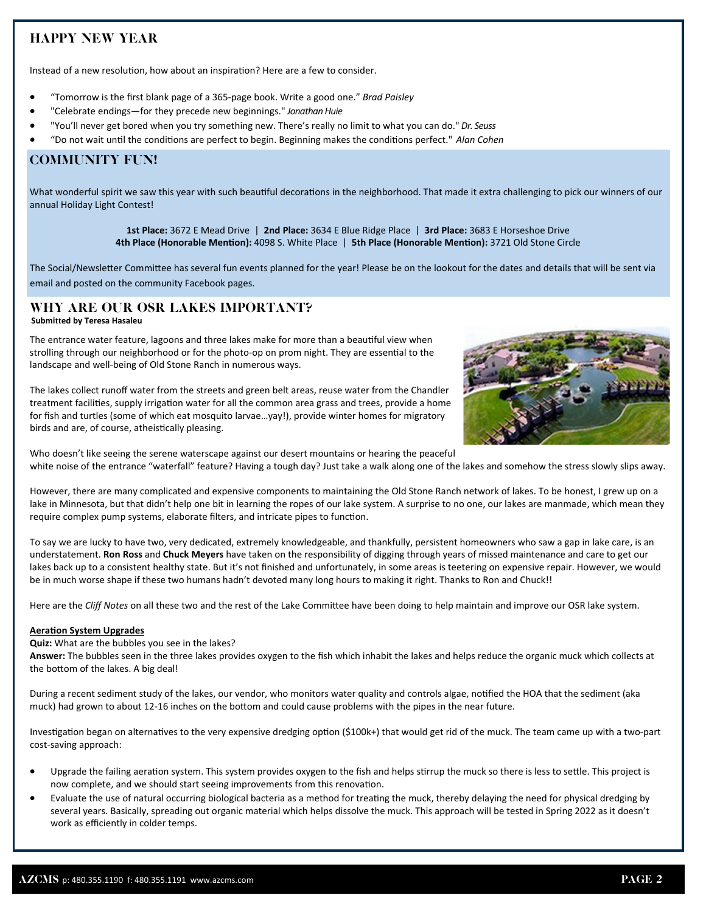# HAPPY NEW YEAR

Instead of a new resolution, how about an inspiration? Here are a few to consider.

- "Tomorrow is the first blank page of a 365‐page book. Write a good one." *Brad Paisley*
- "Celebrate endings—for they precede new beginnings." *Jonathan Huie*
- "You'll never get bored when you try something new. There's really no limit to what you can do." *Dr. Seuss*
- "Do not wait until the conditions are perfect to begin. Beginning makes the conditions perfect." Alan Cohen

### COMMUNITY FUN!

What wonderful spirit we saw this year with such beautiful decorations in the neighborhood. That made it extra challenging to pick our winners of our annual Holiday Light Contest!

> **1st Place:** 3672 E Mead Drive | **2nd Place:** 3634 E Blue Ridge Place | **3rd Place:** 3683 E Horseshoe Drive **4th Place (Honorable MenƟon):** 4098 S. White Place | **5th Place (Honorable MenƟon):** 3721 Old Stone Circle

The Social/Newsletter Committee has several fun events planned for the year! Please be on the lookout for the dates and details that will be sent via email and posted on the community Facebook pages.

# WHY ARE OUR OSR LAKES IMPORTANT?

#### **Submitted by Teresa Hasaleu**

The entrance water feature, lagoons and three lakes make for more than a beautiful view when strolling through our neighborhood or for the photo-op on prom night. They are essential to the landscape and well‐being of Old Stone Ranch in numerous ways.

The lakes collect runoff water from the streets and green belt areas, reuse water from the Chandler treatment facilities, supply irrigation water for all the common area grass and trees, provide a home for fish and turtles (some of which eat mosquito larvae…yay!), provide winter homes for migratory birds and are, of course, atheistically pleasing.



Who doesn't like seeing the serene waterscape against our desert mountains or hearing the peaceful white noise of the entrance "waterfall" feature? Having a tough day? Just take a walk along one of the lakes and somehow the stress slowly slips away.

However, there are many complicated and expensive components to maintaining the Old Stone Ranch network of lakes. To be honest, I grew up on a lake in Minnesota, but that didn't help one bit in learning the ropes of our lake system. A surprise to no one, our lakes are manmade, which mean they require complex pump systems, elaborate filters, and intricate pipes to function.

To say we are lucky to have two, very dedicated, extremely knowledgeable, and thankfully, persistent homeowners who saw a gap in lake care, is an understatement. **Ron Ross** and **Chuck Meyers** have taken on the responsibility of digging through years of missed maintenance and care to get our lakes back up to a consistent healthy state. But it's not finished and unfortunately, in some areas is teetering on expensive repair. However, we would be in much worse shape if these two humans hadn't devoted many long hours to making it right. Thanks to Ron and Chuck!!

Here are the *Cliff* Notes on all these two and the rest of the Lake Committee have been doing to help maintain and improve our OSR lake system.

### **Aeration System Upgrades**

**Quiz:** What are the bubbles you see in the lakes?

**Answer:** The bubbles seen in the three lakes provides oxygen to the fish which inhabit the lakes and helps reduce the organic muck which collects at the bottom of the lakes. A big deal!

During a recent sediment study of the lakes, our vendor, who monitors water quality and controls algae, notified the HOA that the sediment (aka muck) had grown to about 12-16 inches on the bottom and could cause problems with the pipes in the near future.

Investigation began on alternatives to the very expensive dredging option (\$100k+) that would get rid of the muck. The team came up with a two-part cost‐saving approach:

- Upgrade the failing aeration system. This system provides oxygen to the fish and helps stirrup the muck so there is less to settle. This project is now complete, and we should start seeing improvements from this renovation.
- Evaluate the use of natural occurring biological bacteria as a method for treating the muck, thereby delaying the need for physical dredging by several years. Basically, spreading out organic material which helps dissolve the muck. This approach will be tested in Spring 2022 as it doesn't work as efficiently in colder temps.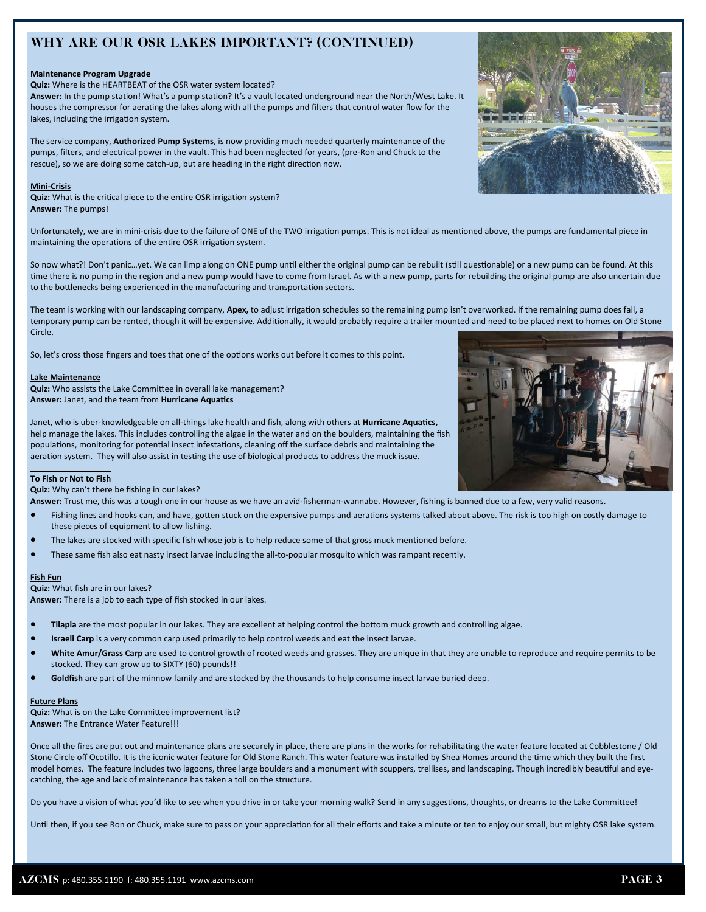# WHY ARE OUR OSR LAKES IMPORTANT? (CONTINUED)

### **Maintenance Program Upgrade**

**Quiz:** Where is the HEARTBEAT of the OSR water system located?

**Answer:** In the pump staƟon! What's a pump staƟon? It's a vault located underground near the North/West Lake. It houses the compressor for aerating the lakes along with all the pumps and filters that control water flow for the lakes, including the irrigation system.

The service company, **Authorized Pump Systems**, is now providing much needed quarterly maintenance of the pumps, filters, and electrical power in the vault. This had been neglected for years, (pre‐Ron and Chuck to the rescue), so we are doing some catch-up, but are heading in the right direction now.

### **Mini‐Crisis**

Quiz: What is the critical piece to the entire OSR irrigation system? **Answer:** The pumps!

Unfortunately, we are in mini-crisis due to the failure of ONE of the TWO irrigation pumps. This is not ideal as mentioned above, the pumps are fundamental piece in maintaining the operations of the entire OSR irrigation system.

So now what?! Don't panic…yet. We can limp along on ONE pump until either the original pump can be rebuilt (still questionable) or a new pump can be found. At this time there is no pump in the region and a new pump would have to come from Israel. As with a new pump, parts for rebuilding the original pump are also uncertain due to the bottlenecks being experienced in the manufacturing and transportation sectors.

The team is working with our landscaping company, Apex, to adjust irrigation schedules so the remaining pump isn't overworked. If the remaining pump does fail, a temporary pump can be rented, though it will be expensive. Additionally, it would probably require a trailer mounted and need to be placed next to homes on Old Stone Circle.

So, let's cross those fingers and toes that one of the options works out before it comes to this point.

### **Lake Maintenance**

Quiz: Who assists the Lake Committee in overall lake management? **Answer:** Janet, and the team from **Hurricane AquaƟcs** 

Janet, who is uber‐knowledgeable on all‐things lake health and fish, along with others at **Hurricane AquaƟcs,** help manage the lakes. This includes controlling the algae in the water and on the boulders, maintaining the fish populations, monitoring for potential insect infestations, cleaning off the surface debris and maintaining the aeration system. They will also assist in testing the use of biological products to address the muck issue.



**Quiz:** Why can't there be fishing in our lakes?

**Answer:** Trust me, this was a tough one in our house as we have an avid‐fisherman‐wannabe. However, fishing is banned due to a few, very valid reasons.

- Fishing lines and hooks can, and have, gotten stuck on the expensive pumps and aerations systems talked about above. The risk is too high on costly damage to these pieces of equipment to allow fishing.
- The lakes are stocked with specific fish whose job is to help reduce some of that gross muck mentioned before.
- These same fish also eat nasty insect larvae including the all‐to‐popular mosquito which was rampant recently.

### **Fish Fun**

**Quiz:** What fish are in our lakes?

**Answer:** There is a job to each type of fish stocked in our lakes.

- Tilapia are the most popular in our lakes. They are excellent at helping control the bottom muck growth and controlling algae.
- **Israeli Carp** is a very common carp used primarily to help control weeds and eat the insect larvae.
- **White Amur/Grass Carp** are used to control growth of rooted weeds and grasses. They are unique in that they are unable to reproduce and require permits to be stocked. They can grow up to SIXTY (60) pounds!!
- **Goldfish** are part of the minnow family and are stocked by the thousands to help consume insect larvae buried deep.

### **Future Plans**

**Quiz:** What is on the Lake Committee improvement list? **Answer:** The Entrance Water Feature!!!

Once all the fires are put out and maintenance plans are securely in place, there are plans in the works for rehabilitating the water feature located at Cobblestone / Old Stone Circle off Ocotillo. It is the iconic water feature for Old Stone Ranch. This water feature was installed by Shea Homes around the time which they built the first model homes. The feature includes two lagoons, three large boulders and a monument with scuppers, trellises, and landscaping. Though incredibly beautiful and eyecatching, the age and lack of maintenance has taken a toll on the structure.

Do you have a vision of what you'd like to see when you drive in or take your morning walk? Send in any suggestions, thoughts, or dreams to the Lake Committee!

Until then, if you see Ron or Chuck, make sure to pass on your appreciation for all their efforts and take a minute or ten to enjoy our small, but mighty OSR lake system.